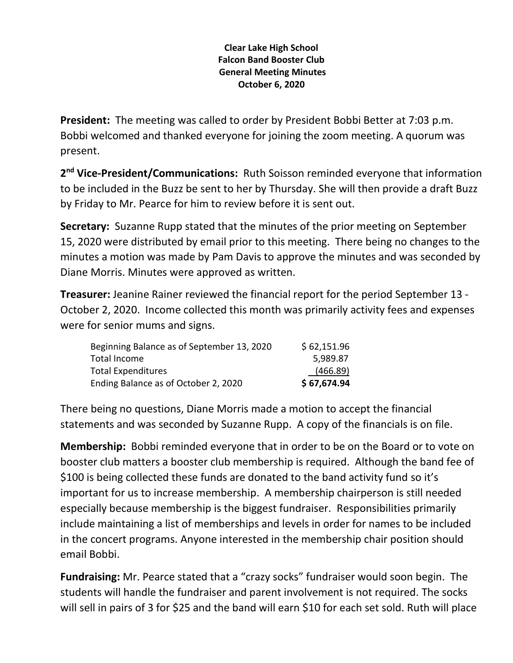## **Clear Lake High School Falcon Band Booster Club General Meeting Minutes October 6, 2020**

**President:** The meeting was called to order by President Bobbi Better at 7:03 p.m. Bobbi welcomed and thanked everyone for joining the zoom meeting. A quorum was present.

2<sup>nd</sup> Vice-President/Communications: Ruth Soisson reminded everyone that information to be included in the Buzz be sent to her by Thursday. She will then provide a draft Buzz by Friday to Mr. Pearce for him to review before it is sent out.

**Secretary:** Suzanne Rupp stated that the minutes of the prior meeting on September 15, 2020 were distributed by email prior to this meeting. There being no changes to the minutes a motion was made by Pam Davis to approve the minutes and was seconded by Diane Morris. Minutes were approved as written.

**Treasurer:** Jeanine Rainer reviewed the financial report for the period September 13 - October 2, 2020. Income collected this month was primarily activity fees and expenses were for senior mums and signs.

| Beginning Balance as of September 13, 2020 | \$62,151.96 |
|--------------------------------------------|-------------|
| Total Income                               | 5,989.87    |
| <b>Total Expenditures</b>                  | (466.89)    |
| Ending Balance as of October 2, 2020       | \$67,674.94 |

There being no questions, Diane Morris made a motion to accept the financial statements and was seconded by Suzanne Rupp. A copy of the financials is on file.

**Membership:** Bobbi reminded everyone that in order to be on the Board or to vote on booster club matters a booster club membership is required. Although the band fee of \$100 is being collected these funds are donated to the band activity fund so it's important for us to increase membership. A membership chairperson is still needed especially because membership is the biggest fundraiser. Responsibilities primarily include maintaining a list of memberships and levels in order for names to be included in the concert programs. Anyone interested in the membership chair position should email Bobbi.

**Fundraising:** Mr. Pearce stated that a "crazy socks" fundraiser would soon begin. The students will handle the fundraiser and parent involvement is not required. The socks will sell in pairs of 3 for \$25 and the band will earn \$10 for each set sold. Ruth will place